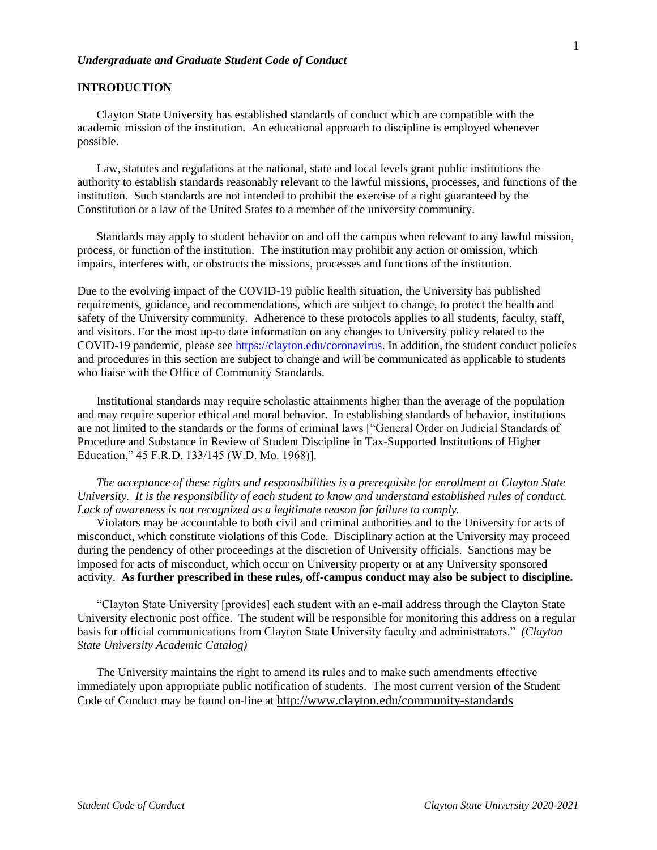#### *Undergraduate and Graduate Student Code of Conduct*

## **INTRODUCTION**

Clayton State University has established standards of conduct which are compatible with the academic mission of the institution. An educational approach to discipline is employed whenever possible.

Law, statutes and regulations at the national, state and local levels grant public institutions the authority to establish standards reasonably relevant to the lawful missions, processes, and functions of the institution. Such standards are not intended to prohibit the exercise of a right guaranteed by the Constitution or a law of the United States to a member of the university community.

Standards may apply to student behavior on and off the campus when relevant to any lawful mission, process, or function of the institution. The institution may prohibit any action or omission, which impairs, interferes with, or obstructs the missions, processes and functions of the institution.

Due to the evolving impact of the COVID-19 public health situation, the University has published requirements, guidance, and recommendations, which are subject to change, to protect the health and safety of the University community. Adherence to these protocols applies to all students, faculty, staff, and visitors. For the most up-to date information on any changes to University policy related to the COVID-19 pandemic, please see [https://clayton.edu/coronavirus.](https://clayton.edu/coronavirus) In addition, the student conduct policies and procedures in this section are subject to change and will be communicated as applicable to students who liaise with the Office of Community Standards.

Institutional standards may require scholastic attainments higher than the average of the population and may require superior ethical and moral behavior. In establishing standards of behavior, institutions are not limited to the standards or the forms of criminal laws ["General Order on Judicial Standards of Procedure and Substance in Review of Student Discipline in Tax-Supported Institutions of Higher Education," 45 F.R.D. 133/145 (W.D. Mo. 1968)].

*The acceptance of these rights and responsibilities is a prerequisite for enrollment at Clayton State University. It is the responsibility of each student to know and understand established rules of conduct. Lack of awareness is not recognized as a legitimate reason for failure to comply.*

Violators may be accountable to both civil and criminal authorities and to the University for acts of misconduct, which constitute violations of this Code. Disciplinary action at the University may proceed during the pendency of other proceedings at the discretion of University officials. Sanctions may be imposed for acts of misconduct, which occur on University property or at any University sponsored activity. **As further prescribed in these rules, off-campus conduct may also be subject to discipline.**

"Clayton State University [provides] each student with an e-mail address through the Clayton State University electronic post office. The student will be responsible for monitoring this address on a regular basis for official communications from Clayton State University faculty and administrators." *(Clayton State University Academic Catalog)*

The University maintains the right to amend its rules and to make such amendments effective immediately upon appropriate public notification of students. The most current version of the Student Code of Conduct may be found on-line at <http://www.clayton.edu/community-standards>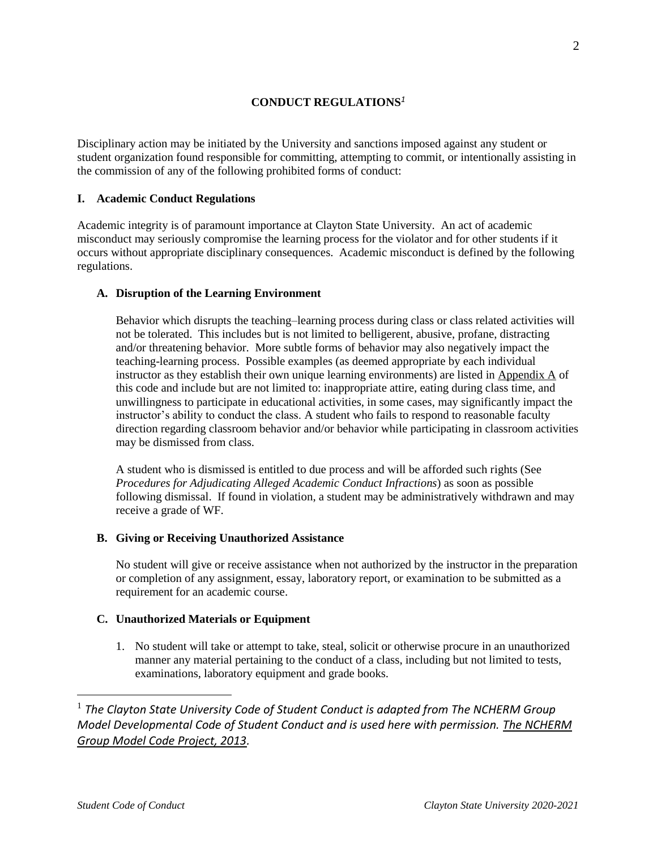## **CONDUCT REGULATIONS***<sup>1</sup>*

Disciplinary action may be initiated by the University and sanctions imposed against any student or student organization found responsible for committing, attempting to commit, or intentionally assisting in the commission of any of the following prohibited forms of conduct:

## **I. Academic Conduct Regulations**

Academic integrity is of paramount importance at Clayton State University. An act of academic misconduct may seriously compromise the learning process for the violator and for other students if it occurs without appropriate disciplinary consequences. Academic misconduct is defined by the following regulations.

## **A. Disruption of the Learning Environment**

Behavior which disrupts the teaching–learning process during class or class related activities will not be tolerated. This includes but is not limited to belligerent, abusive, profane, distracting and/or threatening behavior. More subtle forms of behavior may also negatively impact the teaching-learning process. Possible examples (as deemed appropriate by each individual instructor as they establish their own unique learning environments) are listed in [Appendix A](#page-7-0) of this code and include but are not limited to: inappropriate attire, eating during class time, and unwillingness to participate in educational activities, in some cases, may significantly impact the instructor's ability to conduct the class. A student who fails to respond to reasonable faculty direction regarding classroom behavior and/or behavior while participating in classroom activities may be dismissed from class.

A student who is dismissed is entitled to due process and will be afforded such rights (See *Procedures for Adjudicating Alleged Academic Conduct Infractions*) as soon as possible following dismissal. If found in violation, a student may be administratively withdrawn and may receive a grade of WF.

## **B. Giving or Receiving Unauthorized Assistance**

No student will give or receive assistance when not authorized by the instructor in the preparation or completion of any assignment, essay, laboratory report, or examination to be submitted as a requirement for an academic course.

## **C. Unauthorized Materials or Equipment**

1. No student will take or attempt to take, steal, solicit or otherwise procure in an unauthorized manner any material pertaining to the conduct of a class, including but not limited to tests, examinations, laboratory equipment and grade books.

<sup>1</sup> The Clayton State University Code of Student Conduct is adapted from The NCHERM Group *Model Developmental Code of Student Conduct and is used here with permission. The NCHERM Group Model Code Project, 2013.*

 $\overline{a}$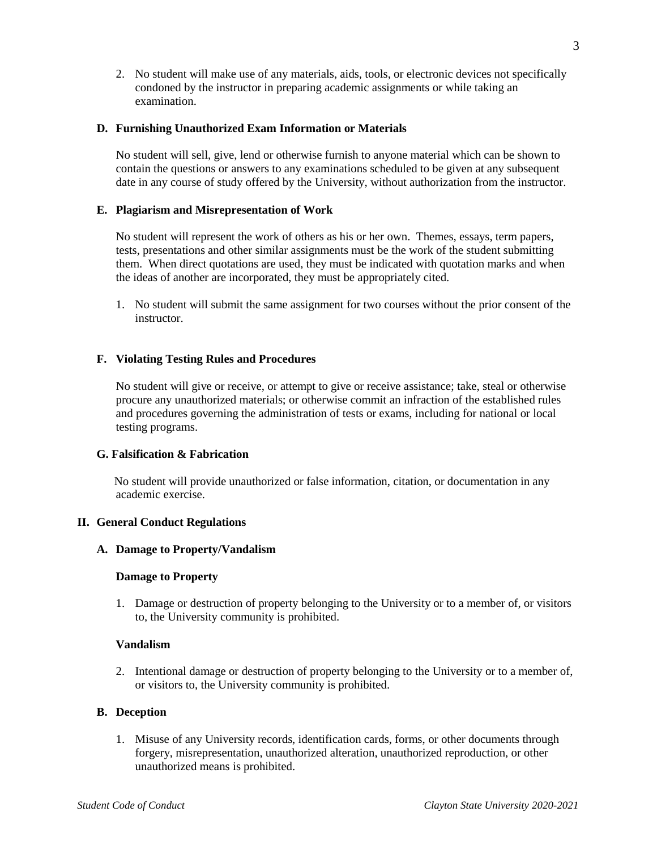2. No student will make use of any materials, aids, tools, or electronic devices not specifically condoned by the instructor in preparing academic assignments or while taking an examination.

## **D. Furnishing Unauthorized Exam Information or Materials**

No student will sell, give, lend or otherwise furnish to anyone material which can be shown to contain the questions or answers to any examinations scheduled to be given at any subsequent date in any course of study offered by the University, without authorization from the instructor.

## **E. Plagiarism and Misrepresentation of Work**

No student will represent the work of others as his or her own. Themes, essays, term papers, tests, presentations and other similar assignments must be the work of the student submitting them. When direct quotations are used, they must be indicated with quotation marks and when the ideas of another are incorporated, they must be appropriately cited.

1. No student will submit the same assignment for two courses without the prior consent of the instructor.

## **F. Violating Testing Rules and Procedures**

No student will give or receive, or attempt to give or receive assistance; take, steal or otherwise procure any unauthorized materials; or otherwise commit an infraction of the established rules and procedures governing the administration of tests or exams, including for national or local testing programs.

## **G. Falsification & Fabrication**

 No student will provide unauthorized or false information, citation, or documentation in any academic exercise.

## **II. General Conduct Regulations**

## **A. Damage to Property/Vandalism**

## **Damage to Property**

1. Damage or destruction of property belonging to the University or to a member of, or visitors to, the University community is prohibited.

## **Vandalism**

2. Intentional damage or destruction of property belonging to the University or to a member of, or visitors to, the University community is prohibited.

## **B. Deception**

1. Misuse of any University records, identification cards, forms, or other documents through forgery, misrepresentation, unauthorized alteration, unauthorized reproduction, or other unauthorized means is prohibited.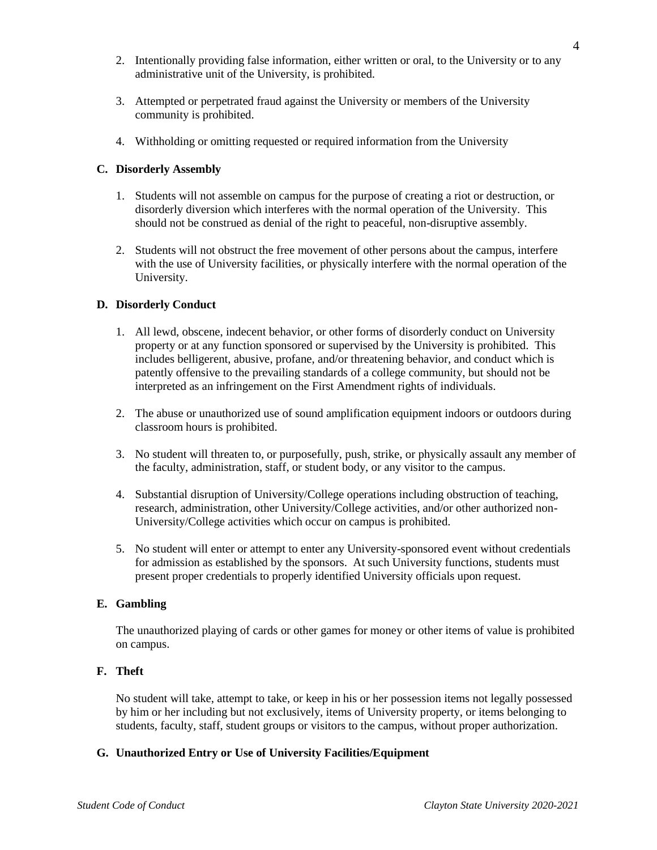- 2. Intentionally providing false information, either written or oral, to the University or to any administrative unit of the University, is prohibited.
- 3. Attempted or perpetrated fraud against the University or members of the University community is prohibited.
- 4. Withholding or omitting requested or required information from the University

## **C. Disorderly Assembly**

- 1. Students will not assemble on campus for the purpose of creating a riot or destruction, or disorderly diversion which interferes with the normal operation of the University. This should not be construed as denial of the right to peaceful, non-disruptive assembly.
- 2. Students will not obstruct the free movement of other persons about the campus, interfere with the use of University facilities, or physically interfere with the normal operation of the University.

## **D. Disorderly Conduct**

- 1. All lewd, obscene, indecent behavior, or other forms of disorderly conduct on University property or at any function sponsored or supervised by the University is prohibited. This includes belligerent, abusive, profane, and/or threatening behavior, and conduct which is patently offensive to the prevailing standards of a college community, but should not be interpreted as an infringement on the First Amendment rights of individuals.
- 2. The abuse or unauthorized use of sound amplification equipment indoors or outdoors during classroom hours is prohibited.
- 3. No student will threaten to, or purposefully, push, strike, or physically assault any member of the faculty, administration, staff, or student body, or any visitor to the campus.
- 4. Substantial disruption of University/College operations including obstruction of teaching, research, administration, other University/College activities, and/or other authorized non-University/College activities which occur on campus is prohibited.
- 5. No student will enter or attempt to enter any University-sponsored event without credentials for admission as established by the sponsors. At such University functions, students must present proper credentials to properly identified University officials upon request.

## **E. Gambling**

The unauthorized playing of cards or other games for money or other items of value is prohibited on campus.

## **F. Theft**

No student will take, attempt to take, or keep in his or her possession items not legally possessed by him or her including but not exclusively, items of University property, or items belonging to students, faculty, staff, student groups or visitors to the campus, without proper authorization.

## **G. Unauthorized Entry or Use of University Facilities/Equipment**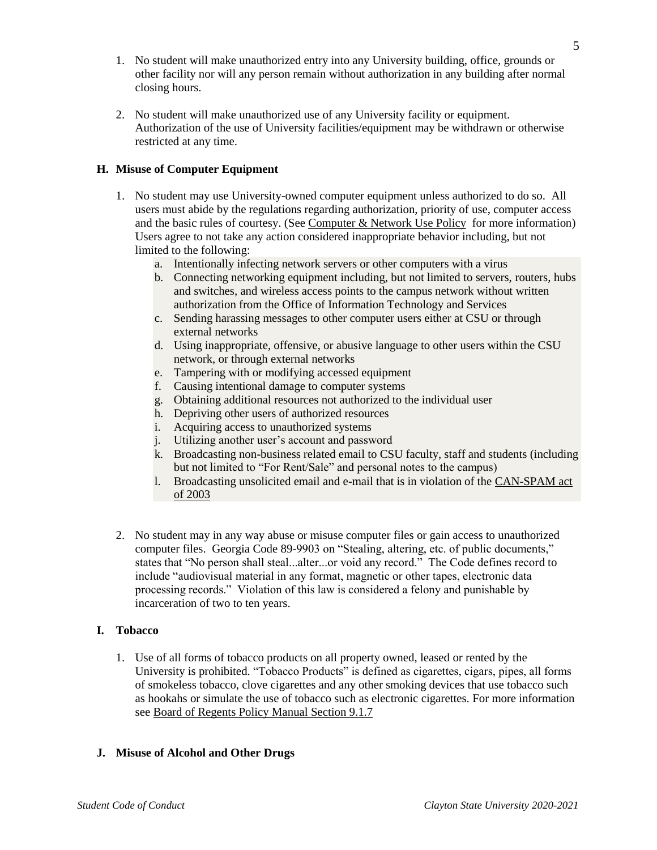- 1. No student will make unauthorized entry into any University building, office, grounds or other facility nor will any person remain without authorization in any building after normal closing hours.
- 2. No student will make unauthorized use of any University facility or equipment. Authorization of the use of University facilities/equipment may be withdrawn or otherwise restricted at any time.

# **H. Misuse of Computer Equipment**

- 1. No student may use University-owned computer equipment unless authorized to do so. All users must abide by the regulations regarding authorization, priority of use, computer access and the basic rules of courtesy. (See Computer & [Network Use](http://www.clayton.edu/oits/usagepolicy) Policy for more information) Users agree to not take any action considered inappropriate behavior including, but not limited to the following:
	- a. Intentionally infecting network servers or other computers with a virus
	- b. Connecting networking equipment including, but not limited to servers, routers, hubs and switches, and wireless access points to the campus network without written authorization from the Office of Information Technology and Services
	- c. Sending harassing messages to other computer users either at CSU or through external networks
	- d. Using inappropriate, offensive, or abusive language to other users within the CSU network, or through external networks
	- e. Tampering with or modifying accessed equipment
	- f. Causing intentional damage to computer systems
	- g. Obtaining additional resources not authorized to the individual user
	- h. Depriving other users of authorized resources
	- i. Acquiring access to unauthorized systems
	- j. Utilizing another user's account and password
	- k. Broadcasting non-business related email to CSU faculty, staff and students (including but not limited to "For Rent/Sale" and personal notes to the campus)
	- l. Broadcasting unsolicited email and e-mail that is in violation of the [CAN-SPAM act](http://www.law.cornell.edu/uscode/html/uscode15/usc_sup_01_15_10_103.html)  [of 2003](http://www.law.cornell.edu/uscode/html/uscode15/usc_sup_01_15_10_103.html)
- 2. No student may in any way abuse or misuse computer files or gain access to unauthorized computer files. Georgia Code 89-9903 on "Stealing, altering, etc. of public documents," states that "No person shall steal...alter...or void any record." The Code defines record to include "audiovisual material in any format, magnetic or other tapes, electronic data processing records." Violation of this law is considered a felony and punishable by incarceration of two to ten years.

## **I. Tobacco**

1. Use of all forms of tobacco products on all property owned, leased or rented by the University is prohibited. "Tobacco Products" is defined as cigarettes, cigars, pipes, all forms of smokeless tobacco, clove cigarettes and any other smoking devices that use tobacco such as hookahs or simulate the use of tobacco such as electronic cigarettes. For more information see [Board of Regents Policy Manual Section 9.1.7](http://www.usg.edu/policymanual/section9/policy/C503/)

## **J. Misuse of Alcohol and Other Drugs**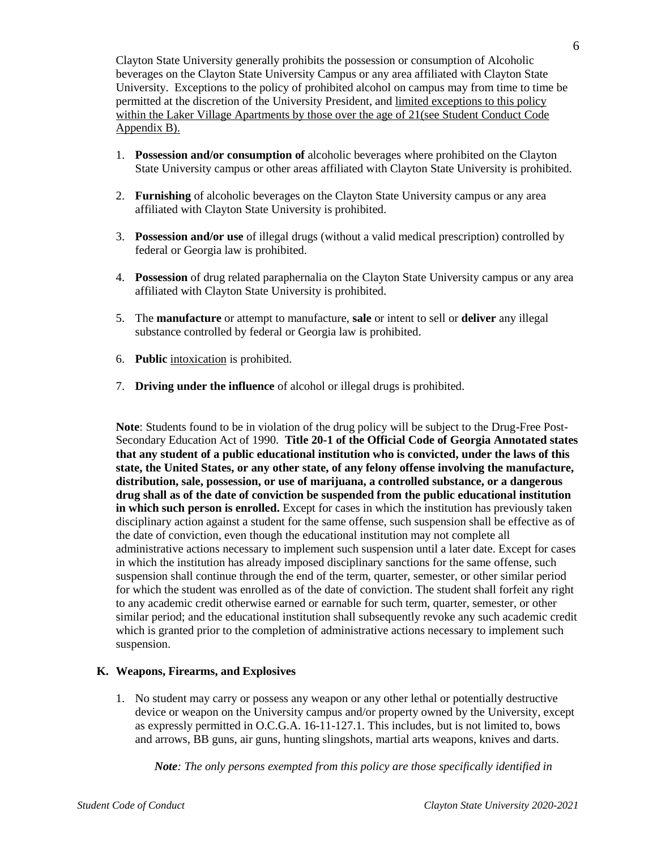Clayton State University generally prohibits the possession or consumption of Alcoholic beverages on the Clayton State University Campus or any area affiliated with Clayton State University. Exceptions to the policy of prohibited alcohol on campus may from time to time be permitted at the discretion of the University President, and [limited exceptions to this policy](#page-10-0)  within the Laker Village Apartments [by those over the age of 21\(see](#page-10-0) Student Conduct Code [Appendix B\).](#page-10-0)

- 1. **Possession and/or consumption of** alcoholic beverages where prohibited on the Clayton State University campus or other areas affiliated with Clayton State University is prohibited.
- 2. **Furnishing** of alcoholic beverages on the Clayton State University campus or any area affiliated with Clayton State University is prohibited.
- 3. **Possession and/or use** of illegal drugs (without a valid medical prescription) controlled by federal or Georgia law is prohibited.
- 4. **Possession** of drug related paraphernalia on the Clayton State University campus or any area affiliated with Clayton State University is prohibited.
- 5. The **manufacture** or attempt to manufacture, **sale** or intent to sell or **deliver** any illegal substance controlled by federal or Georgia law is prohibited.
- 6. **Public** [intoxication](http://en.wikipedia.org/wiki/Alcohol_intoxication) is prohibited.
- 7. **Driving under the influence** of alcohol or illegal drugs is prohibited.

**Note**: Students found to be in violation of the drug policy will be subject to the Drug-Free Post-Secondary Education Act of 1990. **Title 20-1 of the Official Code of Georgia Annotated states that any student of a public educational institution who is convicted, under the laws of this state, the United States, or any other state, of any felony offense involving the manufacture, distribution, sale, possession, or use of marijuana, a controlled substance, or a dangerous drug shall as of the date of conviction be suspended from the public educational institution in which such person is enrolled.** Except for cases in which the institution has previously taken disciplinary action against a student for the same offense, such suspension shall be effective as of the date of conviction, even though the educational institution may not complete all administrative actions necessary to implement such suspension until a later date. Except for cases in which the institution has already imposed disciplinary sanctions for the same offense, such suspension shall continue through the end of the term, quarter, semester, or other similar period for which the student was enrolled as of the date of conviction. The student shall forfeit any right to any academic credit otherwise earned or earnable for such term, quarter, semester, or other similar period; and the educational institution shall subsequently revoke any such academic credit which is granted prior to the completion of administrative actions necessary to implement such suspension.

## **K. Weapons, Firearms, and Explosives**

1. No student may carry or possess any weapon or any other lethal or potentially destructive device or weapon on the University campus and/or property owned by the University, except as expressly permitted in O.C.G.A. 16-11-127.1. This includes, but is not limited to, bows and arrows, BB guns, air guns, hunting slingshots, martial arts weapons, knives and darts.

*Note: The only persons exempted from this policy are those specifically identified in*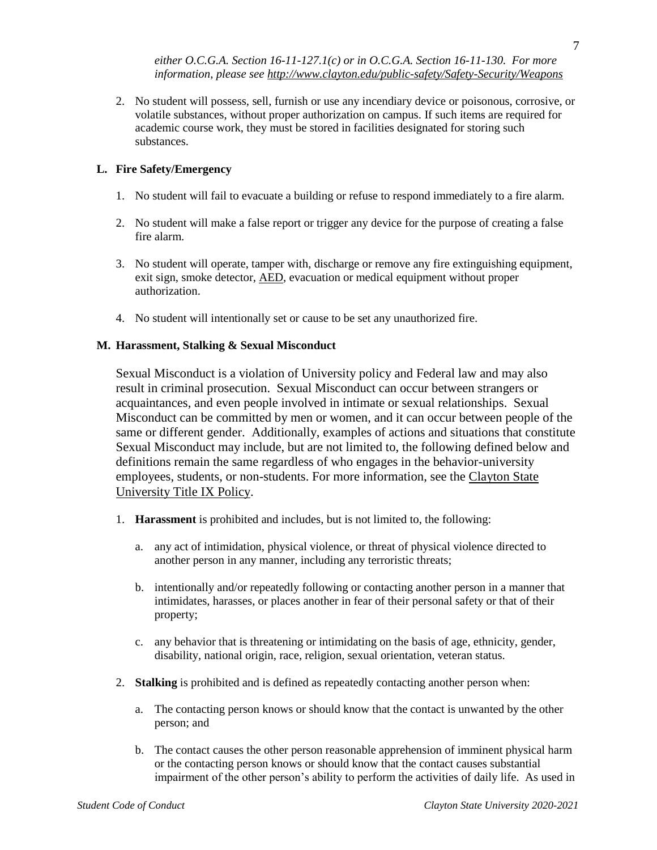2. No student will possess, sell, furnish or use any incendiary device or poisonous, corrosive, or volatile substances, without proper authorization on campus. If such items are required for academic course work, they must be stored in facilities designated for storing such substances.

# **L. Fire Safety/Emergency**

- 1. No student will fail to evacuate a building or refuse to respond immediately to a fire alarm.
- 2. No student will make a false report or trigger any device for the purpose of creating a false fire alarm.
- 3. No student will operate, tamper with, discharge or remove any fire extinguishing equipment, exit sign, smoke detector, [AED,](http://en.wikipedia.org/wiki/Automated_external_defibrillator) evacuation or medical equipment without proper authorization.
- 4. No student will intentionally set or cause to be set any unauthorized fire.

# **M. Harassment, Stalking & Sexual Misconduct**

Sexual Misconduct is a violation of University policy and Federal law and may also result in criminal prosecution. Sexual Misconduct can occur between strangers or acquaintances, and even people involved in intimate or sexual relationships. Sexual Misconduct can be committed by men or women, and it can occur between people of the same or different gender. Additionally, examples of actions and situations that constitute Sexual Misconduct may include, but are not limited to, the following defined below and definitions remain the same regardless of who engages in the behavior-university employees, students, or non-students. For more information, see the [Clayton State](http://www.clayton.edu/human-resources/Institutional-Equity/Policies)  [University Title IX Policy.](http://www.clayton.edu/human-resources/Institutional-Equity/Policies)

- 1. **Harassment** is prohibited and includes, but is not limited to, the following:
	- a. any act of intimidation, physical violence, or threat of physical violence directed to another person in any manner, including any terroristic threats;
	- b. intentionally and/or repeatedly following or contacting another person in a manner that intimidates, harasses, or places another in fear of their personal safety or that of their property;
	- c. any behavior that is threatening or intimidating on the basis of age, ethnicity, gender, disability, national origin, race, religion, sexual orientation, veteran status.
- 2. **Stalking** is prohibited and is defined as repeatedly contacting another person when:
	- a. The contacting person knows or should know that the contact is unwanted by the other person; and
	- b. The contact causes the other person reasonable apprehension of imminent physical harm or the contacting person knows or should know that the contact causes substantial impairment of the other person's ability to perform the activities of daily life. As used in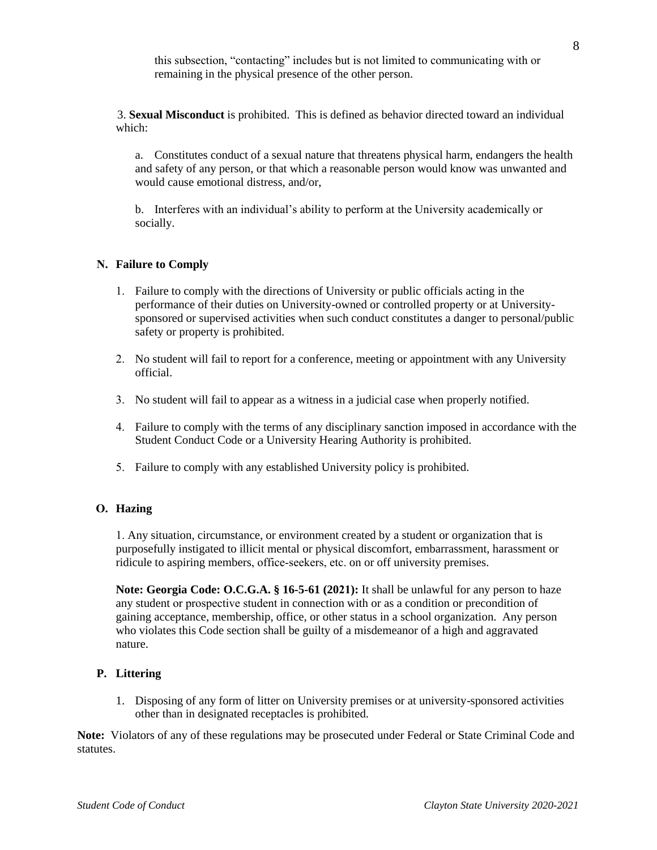this subsection, "contacting" includes but is not limited to communicating with or remaining in the physical presence of the other person.

3. **Sexual Misconduct** is prohibited. This is defined as behavior directed toward an individual which:

a. Constitutes conduct of a sexual nature that threatens physical harm, endangers the health and safety of any person, or that which a reasonable person would know was unwanted and would cause emotional distress, and/or,

b. Interferes with an individual's ability to perform at the University academically or socially.

## **N. Failure to Comply**

- 1. Failure to comply with the directions of University or public officials acting in the performance of their duties on University-owned or controlled property or at Universitysponsored or supervised activities when such conduct constitutes a danger to personal/public safety or property is prohibited.
- 2. No student will fail to report for a conference, meeting or appointment with any University official.
- 3. No student will fail to appear as a witness in a judicial case when properly notified.
- 4. Failure to comply with the terms of any disciplinary sanction imposed in accordance with the Student Conduct Code or a University Hearing Authority is prohibited.
- 5. Failure to comply with any established University policy is prohibited.

## **O. Hazing**

1. Any situation, circumstance, or environment created by a student or organization that is purposefully instigated to illicit mental or physical discomfort, embarrassment, harassment or ridicule to aspiring members, office-seekers, etc. on or off university premises.

**Note: Georgia Code: O.C.G.A. § 16-5-61 (2021):** It shall be unlawful for any person to haze any student or prospective student in connection with or as a condition or precondition of gaining acceptance, membership, office, or other status in a school organization. Any person who violates this Code section shall be guilty of a misdemeanor of a high and aggravated nature.

## **P. Littering**

1. Disposing of any form of litter on University premises or at university-sponsored activities other than in designated receptacles is prohibited.

<span id="page-7-1"></span><span id="page-7-0"></span>**Note:** Violators of any of these regulations may be prosecuted under Federal or State Criminal Code and statutes.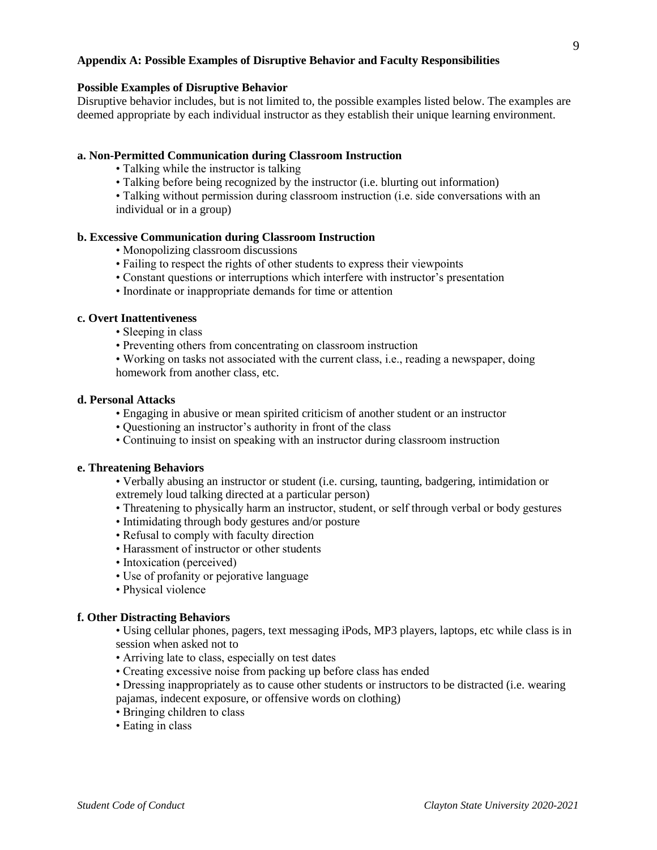## **Appendix A: Possible Examples of Disruptive Behavior and Faculty Responsibilities**

## **Possible Examples of Disruptive Behavior**

Disruptive behavior includes, but is not limited to, the possible examples listed below. The examples are deemed appropriate by each individual instructor as they establish their unique learning environment.

#### **a. Non-Permitted Communication during Classroom Instruction**

- Talking while the instructor is talking
- Talking before being recognized by the instructor (i.e. blurting out information)
- Talking without permission during classroom instruction (i.e. side conversations with an individual or in a group)

#### **b. Excessive Communication during Classroom Instruction**

- Monopolizing classroom discussions
- Failing to respect the rights of other students to express their viewpoints
- Constant questions or interruptions which interfere with instructor's presentation
- Inordinate or inappropriate demands for time or attention

## **c. Overt Inattentiveness**

- Sleeping in class
- Preventing others from concentrating on classroom instruction

• Working on tasks not associated with the current class, i.e., reading a newspaper, doing homework from another class, etc.

## **d. Personal Attacks**

- Engaging in abusive or mean spirited criticism of another student or an instructor
- Questioning an instructor's authority in front of the class
- Continuing to insist on speaking with an instructor during classroom instruction

#### **e. Threatening Behaviors**

- Verbally abusing an instructor or student (i.e. cursing, taunting, badgering, intimidation or extremely loud talking directed at a particular person)
- Threatening to physically harm an instructor, student, or self through verbal or body gestures
- Intimidating through body gestures and/or posture
- Refusal to comply with faculty direction
- Harassment of instructor or other students
- Intoxication (perceived)
- Use of profanity or pejorative language
- Physical violence

#### **f. Other Distracting Behaviors**

- Using cellular phones, pagers, text messaging iPods, MP3 players, laptops, etc while class is in session when asked not to
- Arriving late to class, especially on test dates
- Creating excessive noise from packing up before class has ended
- Dressing inappropriately as to cause other students or instructors to be distracted (i.e. wearing pajamas, indecent exposure, or offensive words on clothing)
- Bringing children to class
- Eating in class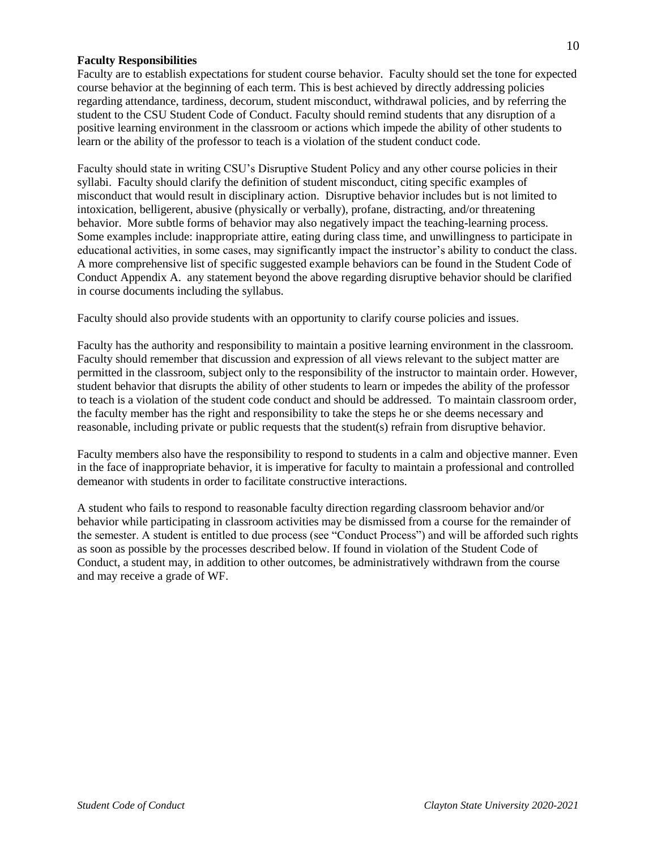## **Faculty Responsibilities**

Faculty are to establish expectations for student course behavior. Faculty should set the tone for expected course behavior at the beginning of each term. This is best achieved by directly addressing policies regarding attendance, tardiness, decorum, student misconduct, withdrawal policies, and by referring the student to the CSU Student Code of Conduct. Faculty should remind students that any disruption of a positive learning environment in the classroom or actions which impede the ability of other students to learn or the ability of the professor to teach is a violation of the student conduct code.

Faculty should state in writing CSU's Disruptive Student Policy and any other course policies in their syllabi. Faculty should clarify the definition of student misconduct, citing specific examples of misconduct that would result in disciplinary action. Disruptive behavior includes but is not limited to intoxication, belligerent, abusive (physically or verbally), profane, distracting, and/or threatening behavior. More subtle forms of behavior may also negatively impact the teaching-learning process. Some examples include: inappropriate attire, eating during class time, and unwillingness to participate in educational activities, in some cases, may significantly impact the instructor's ability to conduct the class. A more comprehensive list of specific suggested example behaviors can be found in the [Student Code of](#page-7-1)  [Conduct Appendix A.](#page-7-1) any statement beyond the above regarding disruptive behavior should be clarified in course documents including the syllabus.

Faculty should also provide students with an opportunity to clarify course policies and issues.

Faculty has the authority and responsibility to maintain a positive learning environment in the classroom. Faculty should remember that discussion and expression of all views relevant to the subject matter are permitted in the classroom, subject only to the responsibility of the instructor to maintain order. However, student behavior that disrupts the ability of other students to learn or impedes the ability of the professor to teach is a violation of the student code conduct and should be addressed. To maintain classroom order, the faculty member has the right and responsibility to take the steps he or she deems necessary and reasonable, including private or public requests that the student(s) refrain from disruptive behavior.

Faculty members also have the responsibility to respond to students in a calm and objective manner. Even in the face of inappropriate behavior, it is imperative for faculty to maintain a professional and controlled demeanor with students in order to facilitate constructive interactions.

A student who fails to respond to reasonable faculty direction regarding classroom behavior and/or behavior while participating in classroom activities may be dismissed from a course for the remainder of the semester. A student is entitled to due process (see "Conduct Process") and will be afforded such rights as soon as possible by the processes described below. If found in violation of the Student Code of Conduct, a student may, in addition to other outcomes, be administratively withdrawn from the course and may receive a grade of WF.